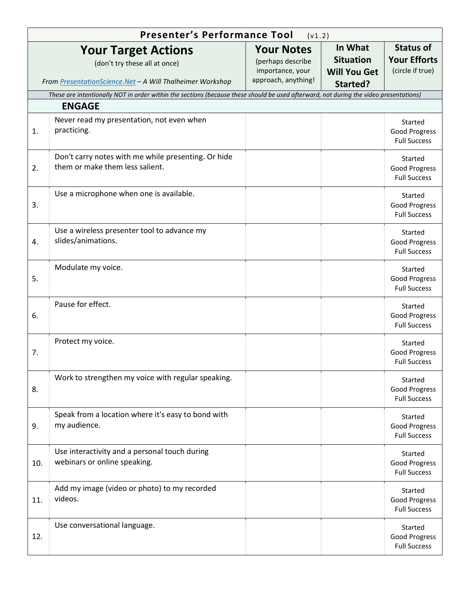|     | <b>Presenter's Performance Tool</b>                                                                                                   | (v1.2)                                                                            |                                                                |                                                             |
|-----|---------------------------------------------------------------------------------------------------------------------------------------|-----------------------------------------------------------------------------------|----------------------------------------------------------------|-------------------------------------------------------------|
|     | <b>Your Target Actions</b><br>(don't try these all at once)<br>From PresentationScience.Net - A Will Thalheimer Workshop              | <b>Your Notes</b><br>(perhaps describe<br>importance, your<br>approach, anything! | In What<br><b>Situation</b><br><b>Will You Get</b><br>Started? | <b>Status of</b><br><b>Your Efforts</b><br>(circle if true) |
|     | These are intentionally NOT in order within the sections (because these should be used afterward, not during the video presentations) |                                                                                   |                                                                |                                                             |
|     | <b>ENGAGE</b>                                                                                                                         |                                                                                   |                                                                |                                                             |
| 1.  | Never read my presentation, not even when<br>practicing.                                                                              |                                                                                   |                                                                | Started<br>Good Progress<br><b>Full Success</b>             |
| 2.  | Don't carry notes with me while presenting. Or hide<br>them or make them less salient.                                                |                                                                                   |                                                                | Started<br>Good Progress<br><b>Full Success</b>             |
| 3.  | Use a microphone when one is available.                                                                                               |                                                                                   |                                                                | Started<br><b>Good Progress</b><br><b>Full Success</b>      |
| 4.  | Use a wireless presenter tool to advance my<br>slides/animations.                                                                     |                                                                                   |                                                                | Started<br>Good Progress<br><b>Full Success</b>             |
| 5.  | Modulate my voice.                                                                                                                    |                                                                                   |                                                                | Started<br>Good Progress<br><b>Full Success</b>             |
| 6.  | Pause for effect.                                                                                                                     |                                                                                   |                                                                | Started<br>Good Progress<br><b>Full Success</b>             |
| 7.  | Protect my voice.                                                                                                                     |                                                                                   |                                                                | Started<br><b>Good Progress</b><br><b>Full Success</b>      |
| 8.  | Work to strengthen my voice with regular speaking.                                                                                    |                                                                                   |                                                                | Started<br><b>Good Progress</b><br><b>Full Success</b>      |
| 9.  | Speak from a location where it's easy to bond with<br>my audience.                                                                    |                                                                                   |                                                                | Started<br><b>Good Progress</b><br><b>Full Success</b>      |
| 10. | Use interactivity and a personal touch during<br>webinars or online speaking.                                                         |                                                                                   |                                                                | Started<br><b>Good Progress</b><br><b>Full Success</b>      |
| 11. | Add my image (video or photo) to my recorded<br>videos.                                                                               |                                                                                   |                                                                | Started<br><b>Good Progress</b><br><b>Full Success</b>      |
| 12. | Use conversational language.                                                                                                          |                                                                                   |                                                                | Started<br>Good Progress<br><b>Full Success</b>             |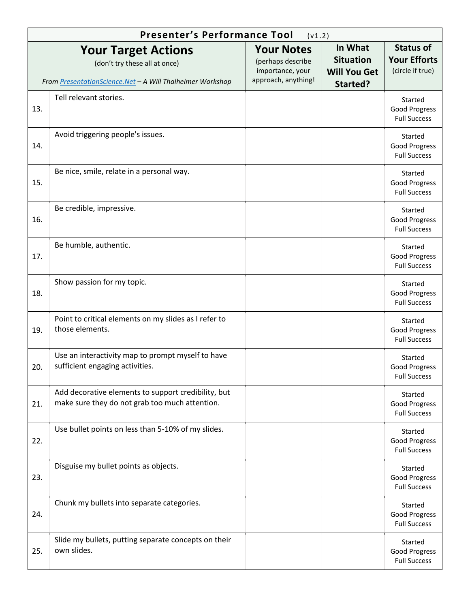|     | <b>Presenter's Performance Tool</b>                                                                                      | (v1.2)                                                                            |                                                                |                                                             |
|-----|--------------------------------------------------------------------------------------------------------------------------|-----------------------------------------------------------------------------------|----------------------------------------------------------------|-------------------------------------------------------------|
|     | <b>Your Target Actions</b><br>(don't try these all at once)<br>From PresentationScience.Net - A Will Thalheimer Workshop | <b>Your Notes</b><br>(perhaps describe<br>importance, your<br>approach, anything! | In What<br><b>Situation</b><br><b>Will You Get</b><br>Started? | <b>Status of</b><br><b>Your Efforts</b><br>(circle if true) |
| 13. | Tell relevant stories.                                                                                                   |                                                                                   |                                                                | Started<br><b>Good Progress</b><br><b>Full Success</b>      |
| 14. | Avoid triggering people's issues.                                                                                        |                                                                                   |                                                                | Started<br><b>Good Progress</b><br><b>Full Success</b>      |
| 15. | Be nice, smile, relate in a personal way.                                                                                |                                                                                   |                                                                | Started<br><b>Good Progress</b><br><b>Full Success</b>      |
| 16. | Be credible, impressive.                                                                                                 |                                                                                   |                                                                | Started<br><b>Good Progress</b><br><b>Full Success</b>      |
| 17. | Be humble, authentic.                                                                                                    |                                                                                   |                                                                | Started<br><b>Good Progress</b><br><b>Full Success</b>      |
| 18. | Show passion for my topic.                                                                                               |                                                                                   |                                                                | Started<br><b>Good Progress</b><br><b>Full Success</b>      |
| 19. | Point to critical elements on my slides as I refer to<br>those elements.                                                 |                                                                                   |                                                                | Started<br>Good Progress<br><b>Full Success</b>             |
| 20. | Use an interactivity map to prompt myself to have<br>sufficient engaging activities.                                     |                                                                                   |                                                                | Started<br>Good Progress<br><b>Full Success</b>             |
| 21. | Add decorative elements to support credibility, but<br>make sure they do not grab too much attention.                    |                                                                                   |                                                                | Started<br>Good Progress<br><b>Full Success</b>             |
| 22. | Use bullet points on less than 5-10% of my slides.                                                                       |                                                                                   |                                                                | Started<br><b>Good Progress</b><br><b>Full Success</b>      |
| 23. | Disguise my bullet points as objects.                                                                                    |                                                                                   |                                                                | Started<br>Good Progress<br><b>Full Success</b>             |
| 24. | Chunk my bullets into separate categories.                                                                               |                                                                                   |                                                                | Started<br>Good Progress<br><b>Full Success</b>             |
| 25. | Slide my bullets, putting separate concepts on their<br>own slides.                                                      |                                                                                   |                                                                | Started<br>Good Progress<br><b>Full Success</b>             |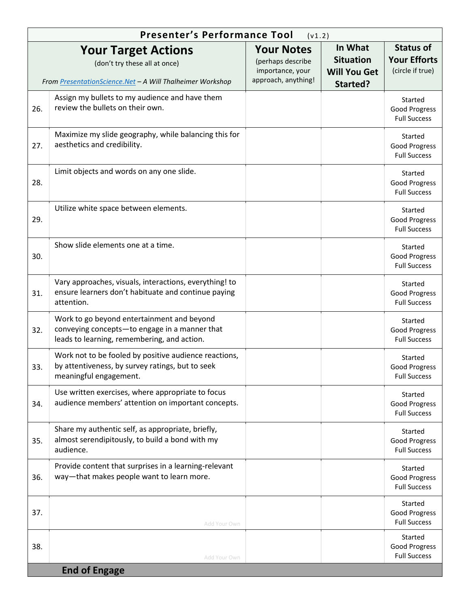|     | Presenter's Performance Tool                                                                                                               | (v1.2)                                                                            |                                                                |                                                             |
|-----|--------------------------------------------------------------------------------------------------------------------------------------------|-----------------------------------------------------------------------------------|----------------------------------------------------------------|-------------------------------------------------------------|
|     | <b>Your Target Actions</b><br>(don't try these all at once)<br>From PresentationScience.Net - A Will Thalheimer Workshop                   | <b>Your Notes</b><br>(perhaps describe<br>importance, your<br>approach, anything! | In What<br><b>Situation</b><br><b>Will You Get</b><br>Started? | <b>Status of</b><br><b>Your Efforts</b><br>(circle if true) |
| 26. | Assign my bullets to my audience and have them<br>review the bullets on their own.                                                         |                                                                                   |                                                                | Started<br><b>Good Progress</b><br><b>Full Success</b>      |
| 27. | Maximize my slide geography, while balancing this for<br>aesthetics and credibility.                                                       |                                                                                   |                                                                | Started<br><b>Good Progress</b><br><b>Full Success</b>      |
| 28. | Limit objects and words on any one slide.                                                                                                  |                                                                                   |                                                                | Started<br><b>Good Progress</b><br><b>Full Success</b>      |
| 29. | Utilize white space between elements.                                                                                                      |                                                                                   |                                                                | Started<br><b>Good Progress</b><br><b>Full Success</b>      |
| 30. | Show slide elements one at a time.                                                                                                         |                                                                                   |                                                                | Started<br><b>Good Progress</b><br><b>Full Success</b>      |
| 31. | Vary approaches, visuals, interactions, everything! to<br>ensure learners don't habituate and continue paying<br>attention.                |                                                                                   |                                                                | Started<br><b>Good Progress</b><br><b>Full Success</b>      |
| 32. | Work to go beyond entertainment and beyond<br>conveying concepts-to engage in a manner that<br>leads to learning, remembering, and action. |                                                                                   |                                                                | Started<br><b>Good Progress</b><br><b>Full Success</b>      |
| 33. | Work not to be fooled by positive audience reactions,<br>by attentiveness, by survey ratings, but to seek<br>meaningful engagement.        |                                                                                   |                                                                | Started<br><b>Good Progress</b><br><b>Full Success</b>      |
| 34. | Use written exercises, where appropriate to focus<br>audience members' attention on important concepts.                                    |                                                                                   |                                                                | Started<br>Good Progress<br><b>Full Success</b>             |
| 35. | Share my authentic self, as appropriate, briefly,<br>almost serendipitously, to build a bond with my<br>audience.                          |                                                                                   |                                                                | Started<br>Good Progress<br><b>Full Success</b>             |
| 36. | Provide content that surprises in a learning-relevant<br>way-that makes people want to learn more.                                         |                                                                                   |                                                                | Started<br><b>Good Progress</b><br><b>Full Success</b>      |
| 37. | Add Your Own                                                                                                                               |                                                                                   |                                                                | Started<br>Good Progress<br><b>Full Success</b>             |
| 38. | Add Your Own                                                                                                                               |                                                                                   |                                                                | Started<br>Good Progress<br><b>Full Success</b>             |
|     | <b>End of Engage</b>                                                                                                                       |                                                                                   |                                                                |                                                             |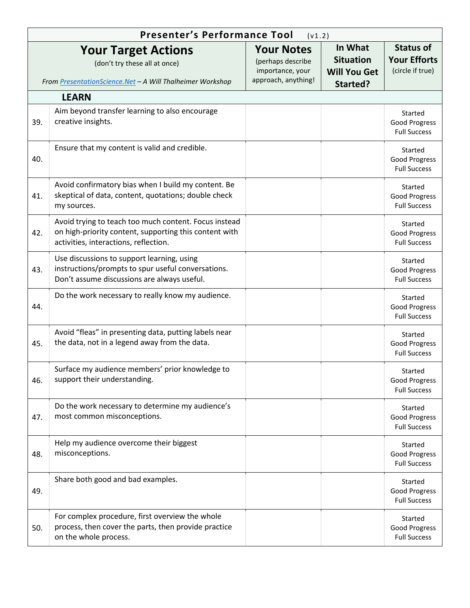|     | <b>Presenter's Performance Tool</b><br>(v1.2)                                                                                                            |                                                                                   |                                                                |                                                             |  |
|-----|----------------------------------------------------------------------------------------------------------------------------------------------------------|-----------------------------------------------------------------------------------|----------------------------------------------------------------|-------------------------------------------------------------|--|
|     | <b>Your Target Actions</b><br>(don't try these all at once)<br>From PresentationScience.Net - A Will Thalheimer Workshop                                 | <b>Your Notes</b><br>(perhaps describe<br>importance, your<br>approach, anything! | In What<br><b>Situation</b><br><b>Will You Get</b><br>Started? | <b>Status of</b><br><b>Your Efforts</b><br>(circle if true) |  |
|     | <b>LEARN</b>                                                                                                                                             |                                                                                   |                                                                |                                                             |  |
| 39. | Aim beyond transfer learning to also encourage<br>creative insights.                                                                                     |                                                                                   |                                                                | Started<br><b>Good Progress</b><br><b>Full Success</b>      |  |
| 40. | Ensure that my content is valid and credible.                                                                                                            |                                                                                   |                                                                | Started<br><b>Good Progress</b><br><b>Full Success</b>      |  |
| 41. | Avoid confirmatory bias when I build my content. Be<br>skeptical of data, content, quotations; double check<br>my sources.                               |                                                                                   |                                                                | Started<br><b>Good Progress</b><br><b>Full Success</b>      |  |
| 42. | Avoid trying to teach too much content. Focus instead<br>on high-priority content, supporting this content with<br>activities, interactions, reflection. |                                                                                   |                                                                | Started<br><b>Good Progress</b><br><b>Full Success</b>      |  |
| 43. | Use discussions to support learning, using<br>instructions/prompts to spur useful conversations.<br>Don't assume discussions are always useful.          |                                                                                   |                                                                | Started<br><b>Good Progress</b><br><b>Full Success</b>      |  |
| 44. | Do the work necessary to really know my audience.                                                                                                        |                                                                                   |                                                                | Started<br><b>Good Progress</b><br><b>Full Success</b>      |  |
| 45. | Avoid "fleas" in presenting data, putting labels near<br>the data, not in a legend away from the data.                                                   |                                                                                   |                                                                | Started<br><b>Good Progress</b><br><b>Full Success</b>      |  |
| 46. | Surface my audience members' prior knowledge to<br>support their understanding.                                                                          |                                                                                   |                                                                | Started<br><b>Good Progress</b><br><b>Full Success</b>      |  |
| 47. | Do the work necessary to determine my audience's<br>most common misconceptions.                                                                          |                                                                                   |                                                                | Started<br><b>Good Progress</b><br><b>Full Success</b>      |  |
| 48. | Help my audience overcome their biggest<br>misconceptions.                                                                                               |                                                                                   |                                                                | Started<br><b>Good Progress</b><br><b>Full Success</b>      |  |
| 49. | Share both good and bad examples.                                                                                                                        |                                                                                   |                                                                | Started<br><b>Good Progress</b><br><b>Full Success</b>      |  |
| 50. | For complex procedure, first overview the whole<br>process, then cover the parts, then provide practice<br>on the whole process.                         |                                                                                   |                                                                | Started<br><b>Good Progress</b><br><b>Full Success</b>      |  |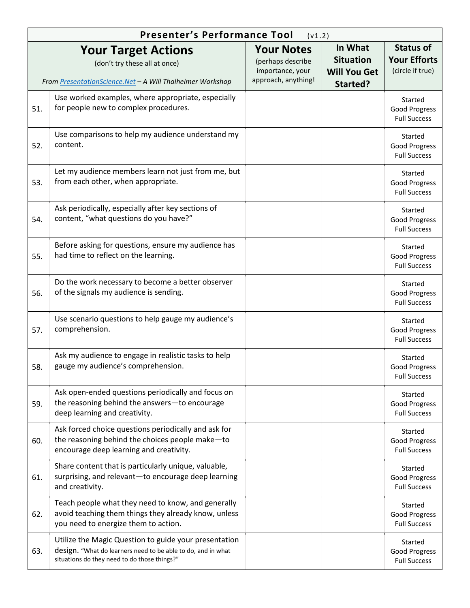|     | <b>Presenter's Performance Tool</b>                                                                                                                                   | (v1.2)                                                                            |                                                                |                                                             |
|-----|-----------------------------------------------------------------------------------------------------------------------------------------------------------------------|-----------------------------------------------------------------------------------|----------------------------------------------------------------|-------------------------------------------------------------|
|     | <b>Your Target Actions</b><br>(don't try these all at once)<br>From PresentationScience.Net - A Will Thalheimer Workshop                                              | <b>Your Notes</b><br>(perhaps describe<br>importance, your<br>approach, anything! | In What<br><b>Situation</b><br><b>Will You Get</b><br>Started? | <b>Status of</b><br><b>Your Efforts</b><br>(circle if true) |
| 51. | Use worked examples, where appropriate, especially<br>for people new to complex procedures.                                                                           |                                                                                   |                                                                | Started<br><b>Good Progress</b><br><b>Full Success</b>      |
| 52. | Use comparisons to help my audience understand my<br>content.                                                                                                         |                                                                                   |                                                                | Started<br><b>Good Progress</b><br><b>Full Success</b>      |
| 53. | Let my audience members learn not just from me, but<br>from each other, when appropriate.                                                                             |                                                                                   |                                                                | Started<br><b>Good Progress</b><br><b>Full Success</b>      |
| 54. | Ask periodically, especially after key sections of<br>content, "what questions do you have?"                                                                          |                                                                                   |                                                                | Started<br>Good Progress<br><b>Full Success</b>             |
| 55. | Before asking for questions, ensure my audience has<br>had time to reflect on the learning.                                                                           |                                                                                   |                                                                | Started<br>Good Progress<br><b>Full Success</b>             |
| 56. | Do the work necessary to become a better observer<br>of the signals my audience is sending.                                                                           |                                                                                   |                                                                | Started<br><b>Good Progress</b><br><b>Full Success</b>      |
| 57. | Use scenario questions to help gauge my audience's<br>comprehension.                                                                                                  |                                                                                   |                                                                | Started<br>Good Progress<br><b>Full Success</b>             |
| 58. | Ask my audience to engage in realistic tasks to help<br>gauge my audience's comprehension.                                                                            |                                                                                   |                                                                | Started<br><b>Good Progress</b><br><b>Full Success</b>      |
| 59. | Ask open-ended questions periodically and focus on<br>the reasoning behind the answers-to encourage<br>deep learning and creativity.                                  |                                                                                   |                                                                | Started<br>Good Progress<br><b>Full Success</b>             |
| 60. | Ask forced choice questions periodically and ask for<br>the reasoning behind the choices people make-to<br>encourage deep learning and creativity.                    |                                                                                   |                                                                | Started<br>Good Progress<br><b>Full Success</b>             |
| 61. | Share content that is particularly unique, valuable,<br>surprising, and relevant-to encourage deep learning<br>and creativity.                                        |                                                                                   |                                                                | Started<br>Good Progress<br><b>Full Success</b>             |
| 62. | Teach people what they need to know, and generally<br>avoid teaching them things they already know, unless<br>you need to energize them to action.                    |                                                                                   |                                                                | Started<br>Good Progress<br><b>Full Success</b>             |
| 63. | Utilize the Magic Question to guide your presentation<br>design. "What do learners need to be able to do, and in what<br>situations do they need to do those things?" |                                                                                   |                                                                | Started<br>Good Progress<br><b>Full Success</b>             |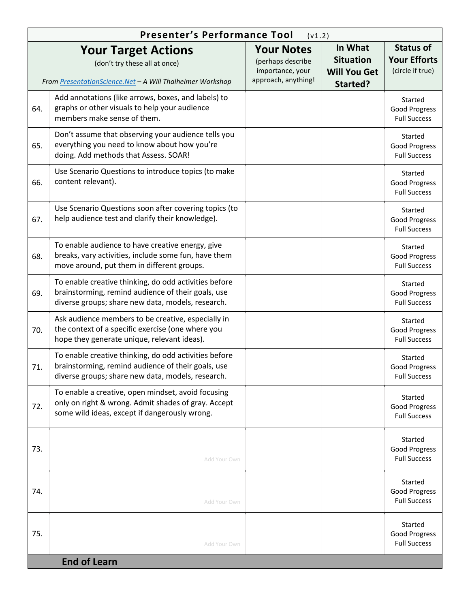|     | <b>Presenter's Performance Tool</b><br>(v1.2)                                                                                                                    |                                                                                   |                                                                |                                                             |  |
|-----|------------------------------------------------------------------------------------------------------------------------------------------------------------------|-----------------------------------------------------------------------------------|----------------------------------------------------------------|-------------------------------------------------------------|--|
|     | <b>Your Target Actions</b><br>(don't try these all at once)<br>From PresentationScience.Net - A Will Thalheimer Workshop                                         | <b>Your Notes</b><br>(perhaps describe<br>importance, your<br>approach, anything! | In What<br><b>Situation</b><br><b>Will You Get</b><br>Started? | <b>Status of</b><br><b>Your Efforts</b><br>(circle if true) |  |
| 64. | Add annotations (like arrows, boxes, and labels) to<br>graphs or other visuals to help your audience<br>members make sense of them.                              |                                                                                   |                                                                | Started<br><b>Good Progress</b><br><b>Full Success</b>      |  |
| 65. | Don't assume that observing your audience tells you<br>everything you need to know about how you're<br>doing. Add methods that Assess. SOAR!                     |                                                                                   |                                                                | Started<br><b>Good Progress</b><br><b>Full Success</b>      |  |
| 66. | Use Scenario Questions to introduce topics (to make<br>content relevant).                                                                                        |                                                                                   |                                                                | Started<br>Good Progress<br><b>Full Success</b>             |  |
| 67. | Use Scenario Questions soon after covering topics (to<br>help audience test and clarify their knowledge).                                                        |                                                                                   |                                                                | Started<br><b>Good Progress</b><br><b>Full Success</b>      |  |
| 68. | To enable audience to have creative energy, give<br>breaks, vary activities, include some fun, have them<br>move around, put them in different groups.           |                                                                                   |                                                                | Started<br><b>Good Progress</b><br><b>Full Success</b>      |  |
| 69. | To enable creative thinking, do odd activities before<br>brainstorming, remind audience of their goals, use<br>diverse groups; share new data, models, research. |                                                                                   |                                                                | Started<br>Good Progress<br><b>Full Success</b>             |  |
| 70. | Ask audience members to be creative, especially in<br>the context of a specific exercise (one where you<br>hope they generate unique, relevant ideas).           |                                                                                   |                                                                | Started<br>Good Progress<br><b>Full Success</b>             |  |
| 71. | To enable creative thinking, do odd activities before<br>brainstorming, remind audience of their goals, use<br>diverse groups; share new data, models, research. |                                                                                   |                                                                | Started<br>Good Progress<br><b>Full Success</b>             |  |
| 72. | To enable a creative, open mindset, avoid focusing<br>only on right & wrong. Admit shades of gray. Accept<br>some wild ideas, except if dangerously wrong.       |                                                                                   |                                                                | Started<br><b>Good Progress</b><br><b>Full Success</b>      |  |
| 73. | Add Your Own                                                                                                                                                     |                                                                                   |                                                                | Started<br><b>Good Progress</b><br><b>Full Success</b>      |  |
| 74. | Add Your Own                                                                                                                                                     |                                                                                   |                                                                | Started<br><b>Good Progress</b><br><b>Full Success</b>      |  |
| 75. | Add Your Own                                                                                                                                                     |                                                                                   |                                                                | Started<br><b>Good Progress</b><br><b>Full Success</b>      |  |
|     | <b>End of Learn</b>                                                                                                                                              |                                                                                   |                                                                |                                                             |  |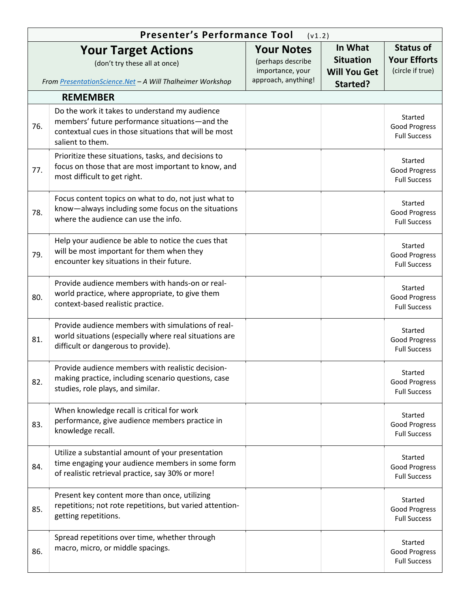|     | <b>Presenter's Performance Tool</b><br>(v1.2)                                                                                                                                 |                                                                                   |                                                                |                                                             |
|-----|-------------------------------------------------------------------------------------------------------------------------------------------------------------------------------|-----------------------------------------------------------------------------------|----------------------------------------------------------------|-------------------------------------------------------------|
|     | <b>Your Target Actions</b><br>(don't try these all at once)<br>From PresentationScience.Net - A Will Thalheimer Workshop                                                      | <b>Your Notes</b><br>(perhaps describe<br>importance, your<br>approach, anything! | In What<br><b>Situation</b><br><b>Will You Get</b><br>Started? | <b>Status of</b><br><b>Your Efforts</b><br>(circle if true) |
|     | <b>REMEMBER</b>                                                                                                                                                               |                                                                                   |                                                                |                                                             |
| 76. | Do the work it takes to understand my audience<br>members' future performance situations-and the<br>contextual cues in those situations that will be most<br>salient to them. |                                                                                   |                                                                | Started<br>Good Progress<br><b>Full Success</b>             |
| 77. | Prioritize these situations, tasks, and decisions to<br>focus on those that are most important to know, and<br>most difficult to get right.                                   |                                                                                   |                                                                | Started<br>Good Progress<br><b>Full Success</b>             |
| 78. | Focus content topics on what to do, not just what to<br>know-always including some focus on the situations<br>where the audience can use the info.                            |                                                                                   |                                                                | Started<br>Good Progress<br><b>Full Success</b>             |
| 79. | Help your audience be able to notice the cues that<br>will be most important for them when they<br>encounter key situations in their future.                                  |                                                                                   |                                                                | Started<br>Good Progress<br><b>Full Success</b>             |
| 80. | Provide audience members with hands-on or real-<br>world practice, where appropriate, to give them<br>context-based realistic practice.                                       |                                                                                   |                                                                | Started<br>Good Progress<br><b>Full Success</b>             |
| 81. | Provide audience members with simulations of real-<br>world situations (especially where real situations are<br>difficult or dangerous to provide).                           |                                                                                   |                                                                | Started<br>Good Progress<br><b>Full Success</b>             |
| 82. | Provide audience members with realistic decision-<br>making practice, including scenario questions, case<br>studies, role plays, and similar.                                 |                                                                                   |                                                                | Started<br>Good Progress<br><b>Full Success</b>             |
| 83. | When knowledge recall is critical for work<br>performance, give audience members practice in<br>knowledge recall.                                                             |                                                                                   |                                                                | Started<br>Good Progress<br><b>Full Success</b>             |
| 84. | Utilize a substantial amount of your presentation<br>time engaging your audience members in some form<br>of realistic retrieval practice, say 30% or more!                    |                                                                                   |                                                                | Started<br>Good Progress<br><b>Full Success</b>             |
| 85. | Present key content more than once, utilizing<br>repetitions; not rote repetitions, but varied attention-<br>getting repetitions.                                             |                                                                                   |                                                                | Started<br>Good Progress<br><b>Full Success</b>             |
| 86. | Spread repetitions over time, whether through<br>macro, micro, or middle spacings.                                                                                            |                                                                                   |                                                                | Started<br>Good Progress<br><b>Full Success</b>             |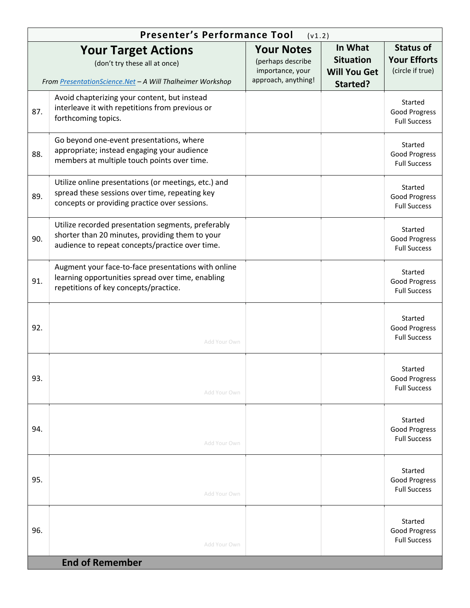|     | <b>Presenter's Performance Tool</b><br>(v1.2)                                                                                                            |                                                                                   |                                                                |                                                             |  |
|-----|----------------------------------------------------------------------------------------------------------------------------------------------------------|-----------------------------------------------------------------------------------|----------------------------------------------------------------|-------------------------------------------------------------|--|
|     | <b>Your Target Actions</b><br>(don't try these all at once)<br>From PresentationScience.Net - A Will Thalheimer Workshop                                 | <b>Your Notes</b><br>(perhaps describe<br>importance, your<br>approach, anything! | In What<br><b>Situation</b><br><b>Will You Get</b><br>Started? | <b>Status of</b><br><b>Your Efforts</b><br>(circle if true) |  |
| 87. | Avoid chapterizing your content, but instead<br>interleave it with repetitions from previous or<br>forthcoming topics.                                   |                                                                                   |                                                                | Started<br>Good Progress<br><b>Full Success</b>             |  |
| 88. | Go beyond one-event presentations, where<br>appropriate; instead engaging your audience<br>members at multiple touch points over time.                   |                                                                                   |                                                                | Started<br><b>Good Progress</b><br><b>Full Success</b>      |  |
| 89. | Utilize online presentations (or meetings, etc.) and<br>spread these sessions over time, repeating key<br>concepts or providing practice over sessions.  |                                                                                   |                                                                | Started<br><b>Good Progress</b><br><b>Full Success</b>      |  |
| 90. | Utilize recorded presentation segments, preferably<br>shorter than 20 minutes, providing them to your<br>audience to repeat concepts/practice over time. |                                                                                   |                                                                | Started<br><b>Good Progress</b><br><b>Full Success</b>      |  |
| 91. | Augment your face-to-face presentations with online<br>learning opportunities spread over time, enabling<br>repetitions of key concepts/practice.        |                                                                                   |                                                                | Started<br>Good Progress<br><b>Full Success</b>             |  |
| 92. | Add Your Own                                                                                                                                             |                                                                                   |                                                                | Started<br><b>Good Progress</b><br><b>Full Success</b>      |  |
| 93. | Add Your Own                                                                                                                                             |                                                                                   |                                                                | Started<br><b>Good Progress</b><br><b>Full Success</b>      |  |
| 94. | Add Your Own                                                                                                                                             |                                                                                   |                                                                | Started<br><b>Good Progress</b><br><b>Full Success</b>      |  |
| 95. | Add Your Own                                                                                                                                             |                                                                                   |                                                                | Started<br><b>Good Progress</b><br><b>Full Success</b>      |  |
| 96. | Add Your Own                                                                                                                                             |                                                                                   |                                                                | Started<br><b>Good Progress</b><br><b>Full Success</b>      |  |
|     | <b>End of Remember</b>                                                                                                                                   |                                                                                   |                                                                |                                                             |  |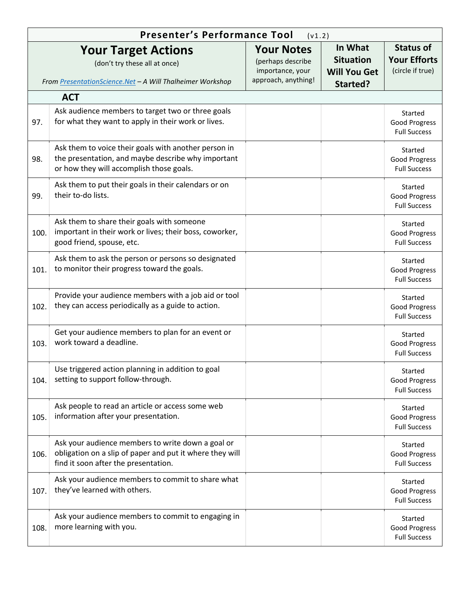|      | <b>Presenter's Performance Tool</b>                                                                                                                    | (v1.2)                                                                            |                                                                |                                                             |
|------|--------------------------------------------------------------------------------------------------------------------------------------------------------|-----------------------------------------------------------------------------------|----------------------------------------------------------------|-------------------------------------------------------------|
|      | <b>Your Target Actions</b><br>(don't try these all at once)<br>From PresentationScience.Net - A Will Thalheimer Workshop                               | <b>Your Notes</b><br>(perhaps describe<br>importance, your<br>approach, anything! | In What<br><b>Situation</b><br><b>Will You Get</b><br>Started? | <b>Status of</b><br><b>Your Efforts</b><br>(circle if true) |
|      | <b>ACT</b>                                                                                                                                             |                                                                                   |                                                                |                                                             |
| 97.  | Ask audience members to target two or three goals<br>for what they want to apply in their work or lives.                                               |                                                                                   |                                                                | Started<br>Good Progress<br><b>Full Success</b>             |
| 98.  | Ask them to voice their goals with another person in<br>the presentation, and maybe describe why important<br>or how they will accomplish those goals. |                                                                                   |                                                                | Started<br>Good Progress<br><b>Full Success</b>             |
| 99.  | Ask them to put their goals in their calendars or on<br>their to-do lists.                                                                             |                                                                                   |                                                                | Started<br>Good Progress<br><b>Full Success</b>             |
| 100. | Ask them to share their goals with someone<br>important in their work or lives; their boss, coworker,<br>good friend, spouse, etc.                     |                                                                                   |                                                                | Started<br>Good Progress<br><b>Full Success</b>             |
| 101. | Ask them to ask the person or persons so designated<br>to monitor their progress toward the goals.                                                     |                                                                                   |                                                                | Started<br>Good Progress<br><b>Full Success</b>             |
| 102. | Provide your audience members with a job aid or tool<br>they can access periodically as a guide to action.                                             |                                                                                   |                                                                | Started<br>Good Progress<br><b>Full Success</b>             |
| 103. | Get your audience members to plan for an event or<br>work toward a deadline.                                                                           |                                                                                   |                                                                | Started<br>Good Progress<br><b>Full Success</b>             |
| 104. | Use triggered action planning in addition to goal<br>setting to support follow-through.                                                                |                                                                                   |                                                                | Started<br>Good Progress<br><b>Full Success</b>             |
| 105. | Ask people to read an article or access some web<br>information after your presentation.                                                               |                                                                                   |                                                                | Started<br>Good Progress<br><b>Full Success</b>             |
| 106. | Ask your audience members to write down a goal or<br>obligation on a slip of paper and put it where they will<br>find it soon after the presentation.  |                                                                                   |                                                                | Started<br>Good Progress<br><b>Full Success</b>             |
| 107. | Ask your audience members to commit to share what<br>they've learned with others.                                                                      |                                                                                   |                                                                | Started<br>Good Progress<br><b>Full Success</b>             |
| 108. | Ask your audience members to commit to engaging in<br>more learning with you.                                                                          |                                                                                   |                                                                | Started<br>Good Progress<br><b>Full Success</b>             |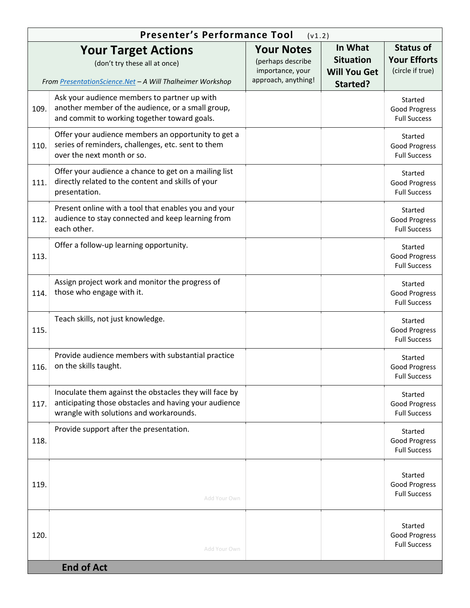|      | Presenter's Performance Tool                                                                                                                               | (v1.2)                                                                            |                                                                |                                                             |
|------|------------------------------------------------------------------------------------------------------------------------------------------------------------|-----------------------------------------------------------------------------------|----------------------------------------------------------------|-------------------------------------------------------------|
|      | <b>Your Target Actions</b><br>(don't try these all at once)<br>From PresentationScience.Net - A Will Thalheimer Workshop                                   | <b>Your Notes</b><br>(perhaps describe<br>importance, your<br>approach, anything! | In What<br><b>Situation</b><br><b>Will You Get</b><br>Started? | <b>Status of</b><br><b>Your Efforts</b><br>(circle if true) |
| 109. | Ask your audience members to partner up with<br>another member of the audience, or a small group,<br>and commit to working together toward goals.          |                                                                                   |                                                                | Started<br><b>Good Progress</b><br><b>Full Success</b>      |
| 110. | Offer your audience members an opportunity to get a<br>series of reminders, challenges, etc. sent to them<br>over the next month or so.                    |                                                                                   |                                                                | Started<br>Good Progress<br><b>Full Success</b>             |
| 111. | Offer your audience a chance to get on a mailing list<br>directly related to the content and skills of your<br>presentation.                               |                                                                                   |                                                                | Started<br>Good Progress<br><b>Full Success</b>             |
| 112. | Present online with a tool that enables you and your<br>audience to stay connected and keep learning from<br>each other.                                   |                                                                                   |                                                                | Started<br>Good Progress<br><b>Full Success</b>             |
| 113. | Offer a follow-up learning opportunity.                                                                                                                    |                                                                                   |                                                                | Started<br><b>Good Progress</b><br><b>Full Success</b>      |
| 114. | Assign project work and monitor the progress of<br>those who engage with it.                                                                               |                                                                                   |                                                                | Started<br><b>Good Progress</b><br><b>Full Success</b>      |
| 115. | Teach skills, not just knowledge.                                                                                                                          |                                                                                   |                                                                | Started<br><b>Good Progress</b><br><b>Full Success</b>      |
| 116. | Provide audience members with substantial practice<br>on the skills taught.                                                                                |                                                                                   |                                                                | Started<br>Good Progress<br><b>Full Success</b>             |
| 117. | Inoculate them against the obstacles they will face by<br>anticipating those obstacles and having your audience<br>wrangle with solutions and workarounds. |                                                                                   |                                                                | Started<br>Good Progress<br><b>Full Success</b>             |
| 118. | Provide support after the presentation.                                                                                                                    |                                                                                   |                                                                | Started<br><b>Good Progress</b><br><b>Full Success</b>      |
| 119. | Add Your Own                                                                                                                                               |                                                                                   |                                                                | Started<br>Good Progress<br><b>Full Success</b>             |
| 120. | Add Your Own                                                                                                                                               |                                                                                   |                                                                | Started<br><b>Good Progress</b><br><b>Full Success</b>      |
|      | <b>End of Act</b>                                                                                                                                          |                                                                                   |                                                                |                                                             |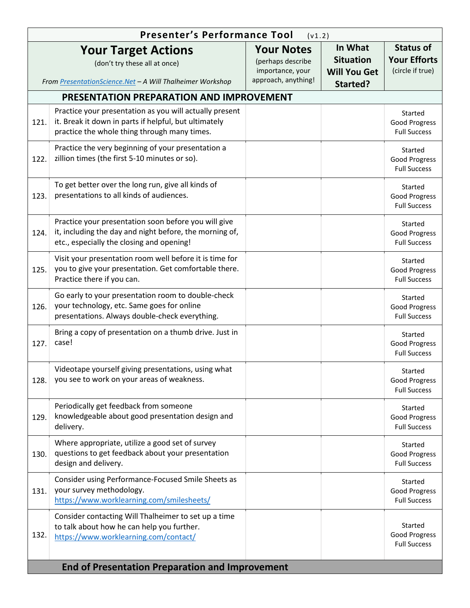|      | Presenter's Performance Tool                                                                                                                                     | (v1.2)                                                                            |                                                                |                                                             |
|------|------------------------------------------------------------------------------------------------------------------------------------------------------------------|-----------------------------------------------------------------------------------|----------------------------------------------------------------|-------------------------------------------------------------|
|      | <b>Your Target Actions</b><br>(don't try these all at once)<br>From PresentationScience.Net - A Will Thalheimer Workshop                                         | <b>Your Notes</b><br>(perhaps describe<br>importance, your<br>approach, anything! | In What<br><b>Situation</b><br><b>Will You Get</b><br>Started? | <b>Status of</b><br><b>Your Efforts</b><br>(circle if true) |
|      | PRESENTATION PREPARATION AND IMPROVEMENT                                                                                                                         |                                                                                   |                                                                |                                                             |
| 121. | Practice your presentation as you will actually present<br>it. Break it down in parts if helpful, but ultimately<br>practice the whole thing through many times. |                                                                                   |                                                                | Started<br>Good Progress<br><b>Full Success</b>             |
| 122. | Practice the very beginning of your presentation a<br>zillion times (the first 5-10 minutes or so).                                                              |                                                                                   |                                                                | Started<br>Good Progress<br><b>Full Success</b>             |
| 123. | To get better over the long run, give all kinds of<br>presentations to all kinds of audiences.                                                                   |                                                                                   |                                                                | Started<br>Good Progress<br><b>Full Success</b>             |
| 124. | Practice your presentation soon before you will give<br>it, including the day and night before, the morning of,<br>etc., especially the closing and opening!     |                                                                                   |                                                                | Started<br>Good Progress<br><b>Full Success</b>             |
| 125. | Visit your presentation room well before it is time for<br>you to give your presentation. Get comfortable there.<br>Practice there if you can.                   |                                                                                   |                                                                | Started<br>Good Progress<br><b>Full Success</b>             |
| 126. | Go early to your presentation room to double-check<br>your technology, etc. Same goes for online<br>presentations. Always double-check everything.               |                                                                                   |                                                                | Started<br>Good Progress<br><b>Full Success</b>             |
| 127. | Bring a copy of presentation on a thumb drive. Just in<br>case!                                                                                                  |                                                                                   |                                                                | Started<br>Good Progress<br><b>Full Success</b>             |
| 128. | Videotape yourself giving presentations, using what<br>you see to work on your areas of weakness.                                                                |                                                                                   |                                                                | Started<br><b>Good Progress</b><br><b>Full Success</b>      |
| 129. | Periodically get feedback from someone<br>knowledgeable about good presentation design and<br>delivery.                                                          |                                                                                   |                                                                | Started<br>Good Progress<br><b>Full Success</b>             |
| 130. | Where appropriate, utilize a good set of survey<br>questions to get feedback about your presentation<br>design and delivery.                                     |                                                                                   |                                                                | Started<br><b>Good Progress</b><br><b>Full Success</b>      |
| 131. | Consider using Performance-Focused Smile Sheets as<br>your survey methodology.<br>https://www.worklearning.com/smilesheets/                                      |                                                                                   |                                                                | Started<br>Good Progress<br><b>Full Success</b>             |
| 132. | Consider contacting Will Thalheimer to set up a time<br>to talk about how he can help you further.<br>https://www.worklearning.com/contact/                      |                                                                                   |                                                                | Started<br>Good Progress<br><b>Full Success</b>             |
|      | <b>End of Presentation Preparation and Improvement</b>                                                                                                           |                                                                                   |                                                                |                                                             |